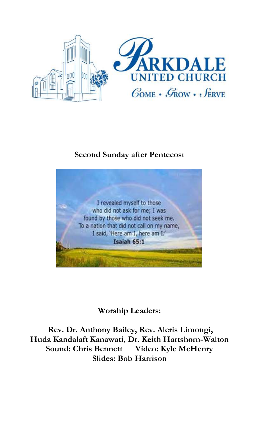

# **Second Sunday after Pentecost**



# **Worship Leaders:**

**Rev. Dr. Anthony Bailey, Rev. Alcris Limongi, Huda Kandalaft Kanawati, Dr. Keith Hartshorn-Walton Sound: Chris Bennett Video: Kyle McHenry Slides: Bob Harrison**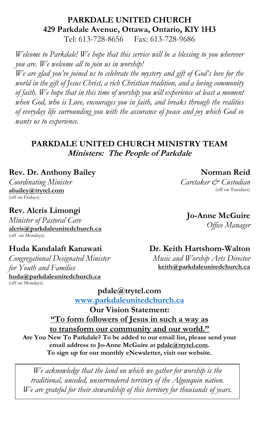#### **PARKDALE UNITED CHURCH 429 Parkdale Avenue, Ottawa, Ontario, K1Y 1H3** Tel: 613-728-8656 Fax: 613-728-9686

*Welcome to Parkdale! We hope that this service will be a blessing to you wherever you are. We welcome all to join us in worship!*

*We are glad you've joined us to celebrate the mystery and gift of God's love for the world in the gift of Jesus Christ, a rich Christian tradition, and a loving community of faith. We hope that in this time of worship you will experience at least a moment when God, who is Love, encourages you in faith, and breaks through the realities of everyday life surrounding you with the assurance of peace and joy which God so wants us to experience.*

### **PARKDALE UNITED CHURCH MINISTRY TEAM Ministers: The People of Parkdale**

#### **Rev. Dr. Anthony Bailey**

*Coordinating Minister* **[abailey@trytel.com](mailto:abailey@trytel.com)** (off on Fridays)

## **Rev. Alcris Limongi**

*Minister of Pastoral Care* **[alcris@parkdaleunitedchurch.ca](mailto:alcris@parkdaleunitedchurch.ca)** (off on Mondays)

### **Huda Kandalaft Kanawati**

*Congregational Designated Minister for Youth and Families* **[huda@parkdaleunitedchurch.ca](mailto:huda@parkdaleunitedchurch.ca)** (off on Mondays)

### **Dr. Keith Hartshorn-Walton**

*Music and Worship Arts Director* **keith@parkdaleunitedchurch.ca** 

**[pdale@trytel.com](mailto:pdale@trytel.com) [www.parkdaleunitedchurch.ca](http://www.parkdaleunitedchurch.ca/)**

**Our Vision Statement: "To form followers of Jesus in such a way as to transform our community and our world." Are You New To Parkdale? To be added to our email list, please send your email address to Jo-Anne McGuire at [pdale@trytel.com.](mailto:pdale@trytel.com) To sign up for our monthly eNewsletter, visit our website.**

*We acknowledge that the land on which we gather for worship is the traditional, unceded, unsurrendered territory of the Algonquin nation. We are grateful for their stewardship of this territory for thousands of years.*

**Norman Reid** *Caretaker & Custodian*

**Jo-Anne McGuire**

(off on Tuesdays)

*Office Manager*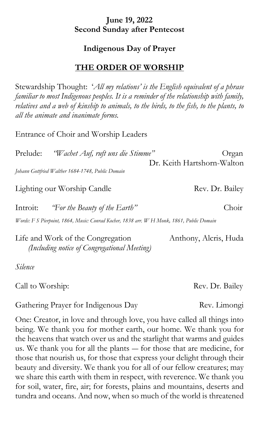### **June 19, 2022 Second Sunday after Pentecost**

#### **Indigenous Day of Prayer**

### **THE ORDER OF WORSHIP**

Stewardship Thought: '*All my relations' is the English equivalent of a phrase familiar to most Indigenous peoples. It is a reminder of the relationship with family, relatives and a web of kinship to animals, to the birds, to the fish, to the plants, to all the animate and inanimate forms.* 

Entrance of Choir and Worship Leaders

| Prelude: | "Wachet Auf, ruft uns die Stimme"                 | Organ                      |
|----------|---------------------------------------------------|----------------------------|
|          |                                                   | Dr. Keith Hartshorn-Walton |
|          | Johann Gottfried Walther 1684-1748, Public Domain |                            |

### Lighting our Worship Candle Rev. Dr. Bailey

Introit: *"For the Beauty of the Earth"* Choir

*Words: F S Pierpoint, 1864, Music: Conrad Kocher, 1838 arr. W H Monk, 1861, Public Domain*

Life and Work of the Congregation Anthony, Alcris, Huda  *(Including notice of Congregational Meeting)*

*Silence*

Call to Worship: Rev. Dr. Bailey

Gathering Prayer for Indigenous Day **Rev. Limongi** 

One: Creator, in love and through love, you have called all things into being. We thank you for mother earth, our home. We thank you for the heavens that watch over us and the starlight that warms and guides us. We thank you for all the plants ― for those that are medicine, for those that nourish us, for those that express your delight through their beauty and diversity. We thank you for all of our fellow creatures; may we share this earth with them in respect, with reverence. We thank you for soil, water, fire, air; for forests, plains and mountains, deserts and tundra and oceans. And now, when so much of the world is threatened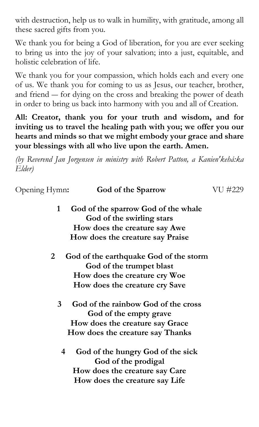with destruction, help us to walk in humility, with gratitude, among all these sacred gifts from you.

We thank you for being a God of liberation, for you are ever seeking to bring us into the joy of your salvation; into a just, equitable, and holistic celebration of life.

We thank you for your compassion, which holds each and every one of us. We thank you for coming to us as Jesus, our teacher, brother, and friend ― for dying on the cross and breaking the power of death in order to bring us back into harmony with you and all of Creation.

**All: Creator, thank you for your truth and wisdom, and for inviting us to travel the healing path with you; we offer you our hearts and minds so that we might embody your grace and share your blessings with all who live upon the earth. Amen.**

*(by Reverend Jan Jorgensen in ministry with Robert Patton, a Kanien'kehá:ka Elder)* 

| Opening Hymn:  | <b>God of the Sparrow</b>              | VU #229 |
|----------------|----------------------------------------|---------|
| $\mathbf{1}$   | God of the sparrow God of the whale    |         |
|                | God of the swirling stars              |         |
|                | How does the creature say Awe          |         |
|                | How does the creature say Praise       |         |
| 2 <sub>1</sub> | God of the earthquake God of the storm |         |
|                | God of the trumpet blast               |         |
|                | How does the creature cry Woe          |         |
|                | <b>How does the creature cry Save</b>  |         |
| $3^{\circ}$    | God of the rainbow God of the cross    |         |
|                | God of the empty grave                 |         |
|                | How does the creature say Grace        |         |
|                | How does the creature say Thanks       |         |
| 4              | God of the hungry God of the sick      |         |
|                | God of the prodigal                    |         |
|                | How does the creature say Care         |         |
|                | How does the creature say Life         |         |
|                |                                        |         |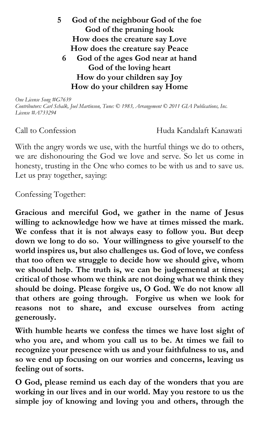**5 God of the neighbour God of the foe God of the pruning hook How does the creature say Love How does the creature say Peace 6 God of the ages God near at hand God of the loving heart How do your children say Joy How do your children say Home**

*One License Song #G7639 Contributors: Carl Schalk, Joel Martinson, Tune: © 1983, Arrangement © 2011 GIA Publications, Inc. License #A733294*

Call to Confession Huda Kandalaft Kanawati

With the angry words we use, with the hurtful things we do to others, we are dishonouring the God we love and serve. So let us come in honesty, trusting in the One who comes to be with us and to save us. Let us pray together, saying:

Confessing Together:

**Gracious and merciful God, we gather in the name of Jesus willing to acknowledge how we have at times missed the mark. We confess that it is not always easy to follow you. But deep down we long to do so. Your willingness to give yourself to the world inspires us, but also challenges us. God of love, we confess that too often we struggle to decide how we should give, whom we should help. The truth is, we can be judgemental at times; critical of those whom we think are not doing what we think they should be doing. Please forgive us, O God. We do not know all that others are going through. Forgive us when we look for reasons not to share, and excuse ourselves from acting generously.** 

**With humble hearts we confess the times we have lost sight of who you are, and whom you call us to be. At times we fail to recognize your presence with us and your faithfulness to us, and so we end up focusing on our worries and concerns, leaving us feeling out of sorts.**

**O God, please remind us each day of the wonders that you are working in our lives and in our world. May you restore to us the simple joy of knowing and loving you and others, through the**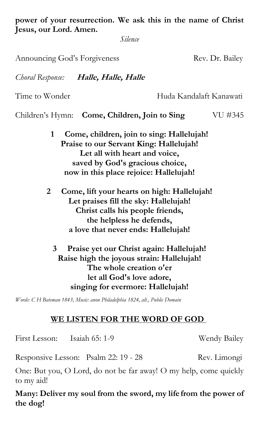**power of your resurrection. We ask this in the name of Christ Jesus, our Lord. Amen.**

*Silence*

Announcing God's Forgiveness **Rev. Dr. Bailey** 

*Choral Response:* **Halle, Halle, Halle**

Time to Wonder **Huda Kandalaft Kanawati** 

Children's Hymn: **Come, Children, Join to Sing** VU #345

- **1 Come, children, join to sing: Hallelujah! Praise to our Servant King: Hallelujah! Let all with heart and voice, saved by God's gracious choice, now in this place rejoice: Hallelujah!**
- **2 Come, lift your hearts on high: Hallelujah! Let praises fill the sky: Hallelujah! Christ calls his people friends, the helpless he defends, a love that never ends: Hallelujah!**

**3 Praise yet our Christ again: Hallelujah! Raise high the joyous strain: Hallelujah! The whole creation o'er let all God's love adore, singing for evermore: Hallelujah!**

*Words: C H Bateman 1843, Music: anon Philadelphia 1824, alt., Public Domain*

### **WE LISTEN FOR THE WORD OF GOD**

First Lesson: Isaiah 65: 1-9 Wendy Bailey

Responsive Lesson: Psalm 22: 19 - 28 Rev. Limongi

One: But you, O Lord, do not be far away! O my help, come quickly to my aid!

**Many: Deliver my soul from the sword, my life from the power of the dog!**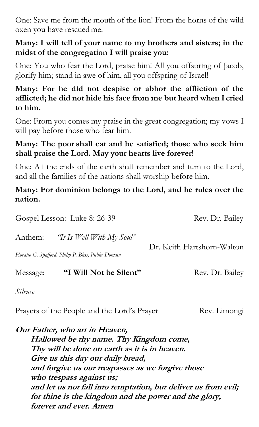One: Save me from the mouth of the lion! From the horns of the wild oxen you have rescuedme.

## **Many: I will tell of your name to my brothers and sisters; in the midst of the congregation I will praise you:**

One: You who fear the Lord, praise him! All you offspring of Jacob, glorify him; stand in awe of him, all you offspring of Israel!

## **Many: For he did not despise or abhor the affliction of the afflicted; he did not hide his face from me but heard when I cried to him.**

One: From you comes my praise in the great congregation; my vows I will pay before those who fear him.

## **Many: The poor shall eat and be satisfied; those who seek him shall praise the Lord. May your hearts live forever!**

One: All the ends of the earth shall remember and turn to the Lord, and all the families of the nations shall worship before him.

### **Many: For dominion belongs to the Lord, and he rules over the nation.**

| Gospel Lesson: Luke 8: 26-39                        |                                   | Rev. Dr. Bailey            |  |
|-----------------------------------------------------|-----------------------------------|----------------------------|--|
|                                                     | Anthem: "It Is Well With My Soul" |                            |  |
| Horatio G. Spafford, Philip P. Bliss, Public Domain |                                   | Dr. Keith Hartshorn-Walton |  |
| Message:                                            | "I Will Not be Silent"            | Rev. Dr. Bailey            |  |
|                                                     |                                   |                            |  |

*Silence* 

Prayers of the People and the Lord's Prayer Rev. Limongi

**Our Father, who art in Heaven, Hallowed be thy name. Thy Kingdom come, Thy will be done on earth as it is in heaven. Give us this day our daily bread, and forgive us our trespasses as we forgive those who trespass against us; and let us not fall into temptation, but deliver us from evil; for thine is the kingdom and the power and the glory, forever and ever. Amen**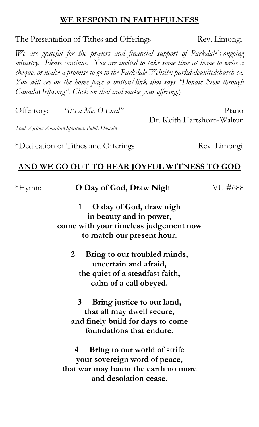#### **WE RESPOND IN FAITHFULNESS**

The Presentation of Tithes and Offerings Rev. Limongi

*We are grateful for the prayers and financial support of Parkdale's ongoing ministry. Please continue. You are invited to take some time at home to write a cheque, or make a promise to go to the Parkdale Website: parkdaleunitedchurch.ca. You will see on the home page a button/link that says "Donate Now through CanadaHelps.org". Click on that and make your offering.*)

Offertory: *"It's a Me, O Lord"* Piano Dr. Keith Hartshorn-Walton

*Trad. African American Spiritual, Public Domain*

\*Dedication of Tithes and Offerings Rev. Limongi

### **AND WE GO OUT TO BEAR JOYFUL WITNESS TO GOD**

| *Hymn: | O Day of God, Draw Nigh                      | VU #688 |
|--------|----------------------------------------------|---------|
|        | O day of God, draw nigh<br>1                 |         |
|        | in beauty and in power,                      |         |
|        | come with your timeless judgement now        |         |
|        | to match our present hour.                   |         |
|        | $\mathbf{2}$<br>Bring to our troubled minds, |         |
|        | uncertain and afraid,                        |         |
|        | the quiet of a steadfast faith,              |         |
|        | calm of a call obeyed.                       |         |
|        |                                              |         |
|        | Bring justice to our land,<br>3              |         |
|        | that all may dwell secure,                   |         |
|        | and finely build for days to come            |         |
|        | foundations that endure.                     |         |
|        | Bring to our world of strife<br>4            |         |
|        | your sovereign word of peace,                |         |
|        | that war may haunt the earth no more         |         |
|        | and desolation cease.                        |         |
|        |                                              |         |